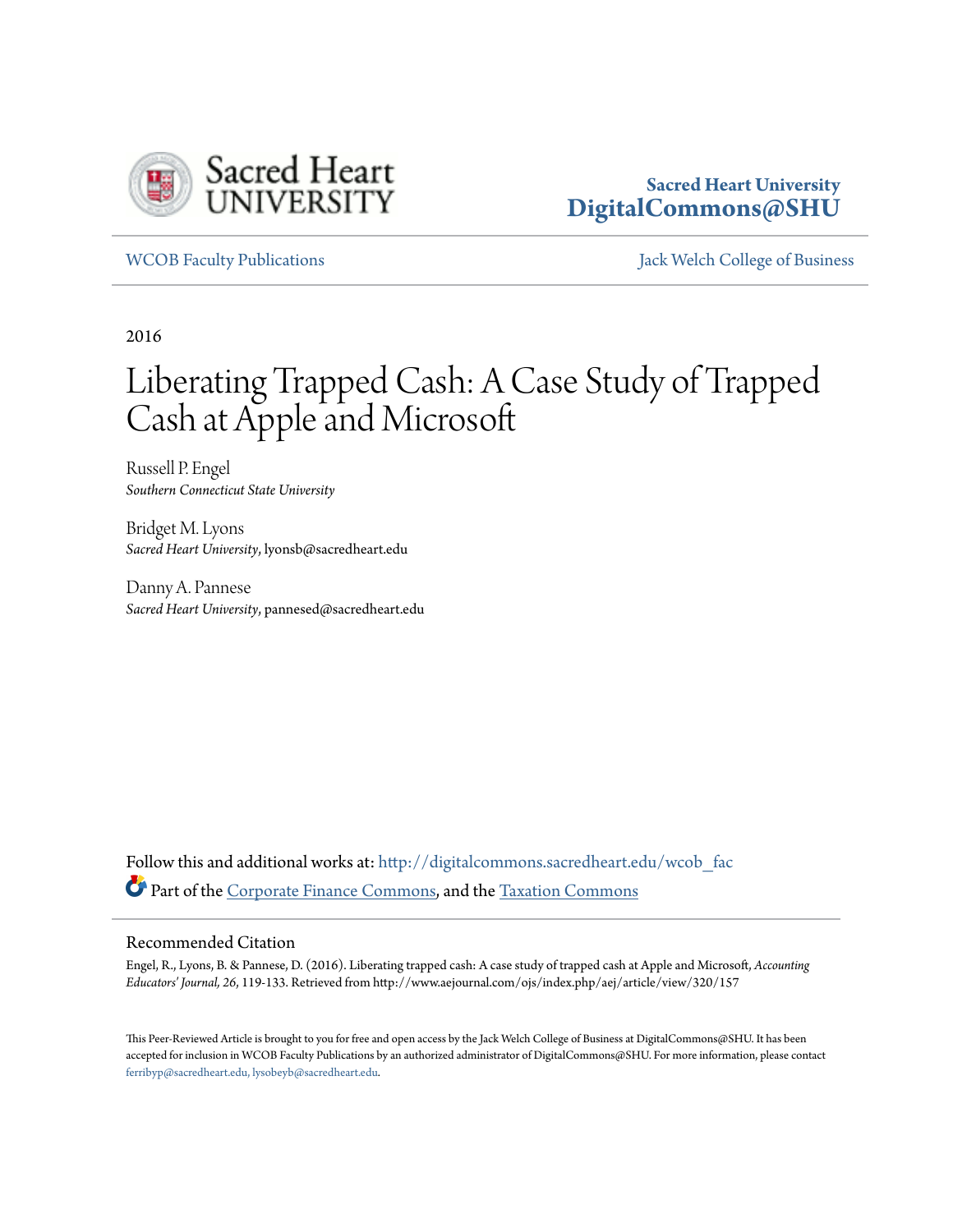

### **Sacred Heart University [DigitalCommons@SHU](http://digitalcommons.sacredheart.edu?utm_source=digitalcommons.sacredheart.edu%2Fwcob_fac%2F429&utm_medium=PDF&utm_campaign=PDFCoverPages)**

[WCOB Faculty Publications](http://digitalcommons.sacredheart.edu/wcob_fac?utm_source=digitalcommons.sacredheart.edu%2Fwcob_fac%2F429&utm_medium=PDF&utm_campaign=PDFCoverPages) [Jack Welch College of Business](http://digitalcommons.sacredheart.edu/wcob?utm_source=digitalcommons.sacredheart.edu%2Fwcob_fac%2F429&utm_medium=PDF&utm_campaign=PDFCoverPages)

2016

# Liberating Trapped Cash: A Case Study of Trapped Cash at Apple and Microsoft

Russell P. Engel *Southern Connecticut State University*

Bridget M. Lyons *Sacred Heart University*, lyonsb@sacredheart.edu

Danny A. Pannese *Sacred Heart University*, pannesed@sacredheart.edu

Follow this and additional works at: [http://digitalcommons.sacredheart.edu/wcob\\_fac](http://digitalcommons.sacredheart.edu/wcob_fac?utm_source=digitalcommons.sacredheart.edu%2Fwcob_fac%2F429&utm_medium=PDF&utm_campaign=PDFCoverPages) Part of the [Corporate Finance Commons](http://network.bepress.com/hgg/discipline/629?utm_source=digitalcommons.sacredheart.edu%2Fwcob_fac%2F429&utm_medium=PDF&utm_campaign=PDFCoverPages), and the [Taxation Commons](http://network.bepress.com/hgg/discipline/643?utm_source=digitalcommons.sacredheart.edu%2Fwcob_fac%2F429&utm_medium=PDF&utm_campaign=PDFCoverPages)

#### Recommended Citation

Engel, R., Lyons, B. & Pannese, D. (2016). Liberating trapped cash: A case study of trapped cash at Apple and Microsoft, *Accounting Educators' Journal, 26*, 119-133. Retrieved from http://www.aejournal.com/ojs/index.php/aej/article/view/320/157

This Peer-Reviewed Article is brought to you for free and open access by the Jack Welch College of Business at DigitalCommons@SHU. It has been accepted for inclusion in WCOB Faculty Publications by an authorized administrator of DigitalCommons@SHU. For more information, please contact [ferribyp@sacredheart.edu, lysobeyb@sacredheart.edu.](mailto:ferribyp@sacredheart.edu,%20lysobeyb@sacredheart.edu)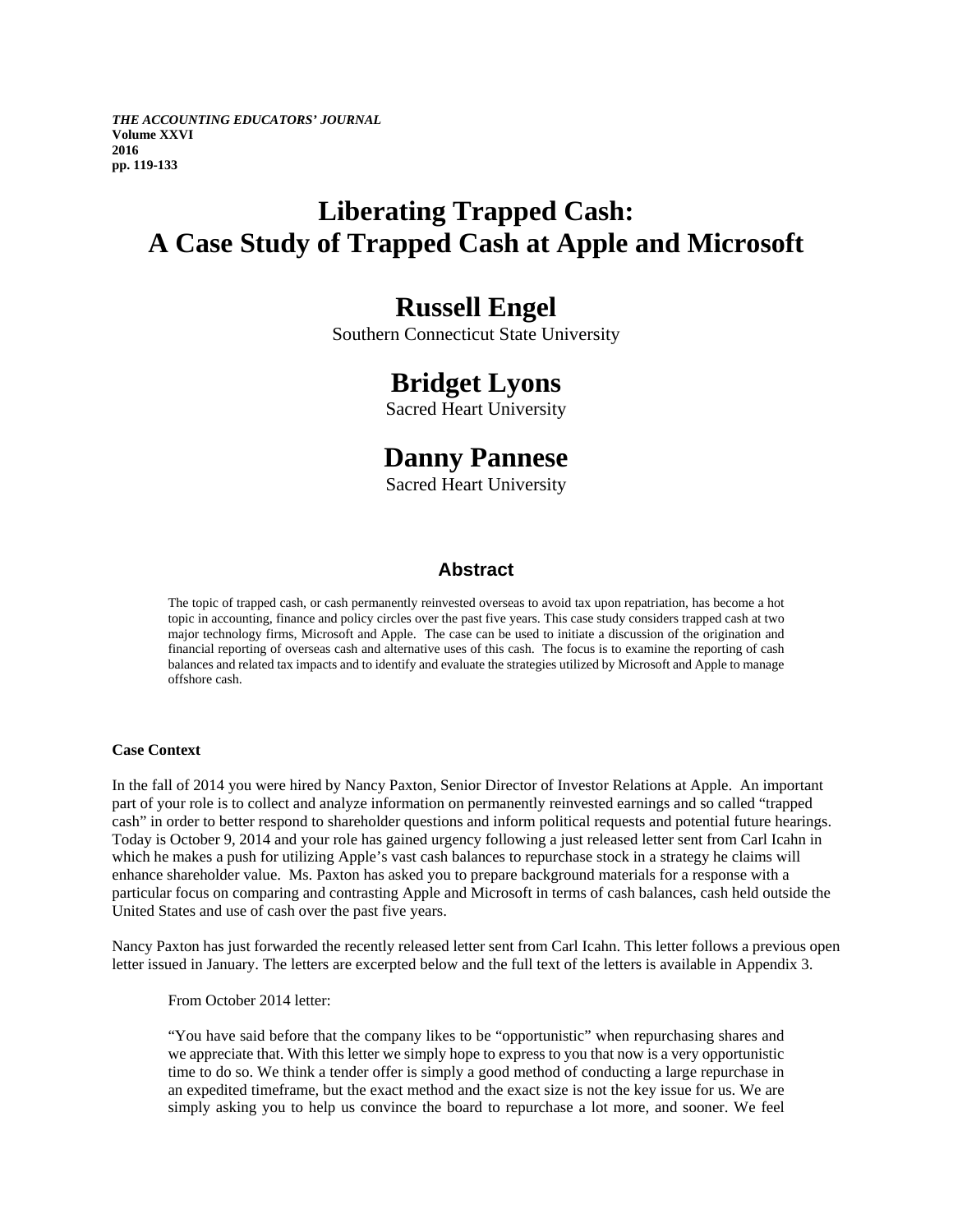*THE ACCOUNTING EDUCATORS' JOURNAL*  **Volume XXVI 2016 pp. 119-133**

## **Liberating Trapped Cash: A Case Study of Trapped Cash at Apple and Microsoft**

### **Russell Engel**

Southern Connecticut State University

### **Bridget Lyons**

Sacred Heart University

## **Danny Pannese**

Sacred Heart University

### **Abstract**

The topic of trapped cash, or cash permanently reinvested overseas to avoid tax upon repatriation, has become a hot topic in accounting, finance and policy circles over the past five years. This case study considers trapped cash at two major technology firms, Microsoft and Apple. The case can be used to initiate a discussion of the origination and financial reporting of overseas cash and alternative uses of this cash. The focus is to examine the reporting of cash balances and related tax impacts and to identify and evaluate the strategies utilized by Microsoft and Apple to manage offshore cash.

#### **Case Context**

In the fall of 2014 you were hired by Nancy Paxton, Senior Director of Investor Relations at Apple. An important part of your role is to collect and analyze information on permanently reinvested earnings and so called "trapped cash" in order to better respond to shareholder questions and inform political requests and potential future hearings. Today is October 9, 2014 and your role has gained urgency following a just released letter sent from Carl Icahn in which he makes a push for utilizing Apple's vast cash balances to repurchase stock in a strategy he claims will enhance shareholder value. Ms. Paxton has asked you to prepare background materials for a response with a particular focus on comparing and contrasting Apple and Microsoft in terms of cash balances, cash held outside the United States and use of cash over the past five years.

Nancy Paxton has just forwarded the recently released letter sent from Carl Icahn. This letter follows a previous open letter issued in January. The letters are excerpted below and the full text of the letters is available in Appendix 3.

From October 2014 letter:

"You have said before that the company likes to be "opportunistic" when repurchasing shares and we appreciate that. With this letter we simply hope to express to you that now is a very opportunistic time to do so. We think a tender offer is simply a good method of conducting a large repurchase in an expedited timeframe, but the exact method and the exact size is not the key issue for us. We are simply asking you to help us convince the board to repurchase a lot more, and sooner. We feel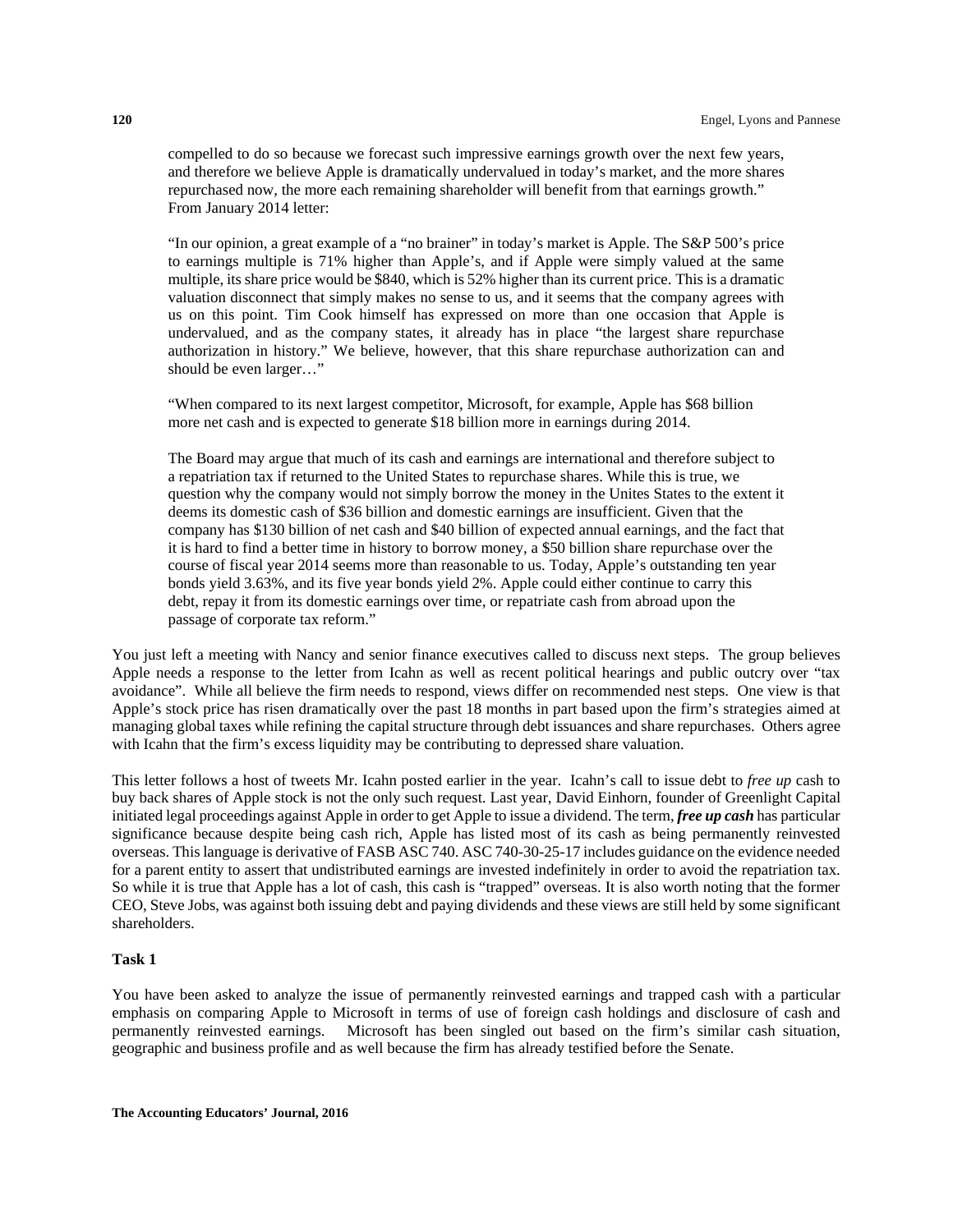compelled to do so because we forecast such impressive earnings growth over the next few years, and therefore we believe Apple is dramatically undervalued in today's market, and the more shares repurchased now, the more each remaining shareholder will benefit from that earnings growth." From January 2014 letter:

"In our opinion, a great example of a "no brainer" in today's market is Apple. The S&P 500's price to earnings multiple is 71% higher than Apple's, and if Apple were simply valued at the same multiple, its share price would be \$840, which is 52% higher than its current price. This is a dramatic valuation disconnect that simply makes no sense to us, and it seems that the company agrees with us on this point. Tim Cook himself has expressed on more than one occasion that Apple is undervalued, and as the company states, it already has in place "the largest share repurchase authorization in history." We believe, however, that this share repurchase authorization can and should be even larger…"

"When compared to its next largest competitor, Microsoft, for example, Apple has \$68 billion more net cash and is expected to generate \$18 billion more in earnings during 2014.

The Board may argue that much of its cash and earnings are international and therefore subject to a repatriation tax if returned to the United States to repurchase shares. While this is true, we question why the company would not simply borrow the money in the Unites States to the extent it deems its domestic cash of \$36 billion and domestic earnings are insufficient. Given that the company has \$130 billion of net cash and \$40 billion of expected annual earnings, and the fact that it is hard to find a better time in history to borrow money, a \$50 billion share repurchase over the course of fiscal year 2014 seems more than reasonable to us. Today, Apple's outstanding ten year bonds yield 3.63%, and its five year bonds yield 2%. Apple could either continue to carry this debt, repay it from its domestic earnings over time, or repatriate cash from abroad upon the passage of corporate tax reform."

You just left a meeting with Nancy and senior finance executives called to discuss next steps. The group believes Apple needs a response to the letter from Icahn as well as recent political hearings and public outcry over "tax avoidance". While all believe the firm needs to respond, views differ on recommended nest steps. One view is that Apple's stock price has risen dramatically over the past 18 months in part based upon the firm's strategies aimed at managing global taxes while refining the capital structure through debt issuances and share repurchases. Others agree with Icahn that the firm's excess liquidity may be contributing to depressed share valuation.

This letter follows a host of tweets Mr. Icahn posted earlier in the year. Icahn's call to issue debt to *free up* cash to buy back shares of Apple stock is not the only such request. Last year, David Einhorn, founder of Greenlight Capital initiated legal proceedings against Apple in order to get Apple to issue a dividend. The term, *free up cash* has particular significance because despite being cash rich, Apple has listed most of its cash as being permanently reinvested overseas. This language is derivative of FASB ASC 740. ASC 740-30-25-17 includes guidance on the evidence needed for a parent entity to assert that undistributed earnings are invested indefinitely in order to avoid the repatriation tax. So while it is true that Apple has a lot of cash, this cash is "trapped" overseas. It is also worth noting that the former CEO, Steve Jobs, was against both issuing debt and paying dividends and these views are still held by some significant shareholders.

#### **Task 1**

You have been asked to analyze the issue of permanently reinvested earnings and trapped cash with a particular emphasis on comparing Apple to Microsoft in terms of use of foreign cash holdings and disclosure of cash and permanently reinvested earnings. Microsoft has been singled out based on the firm's similar cash situation, geographic and business profile and as well because the firm has already testified before the Senate.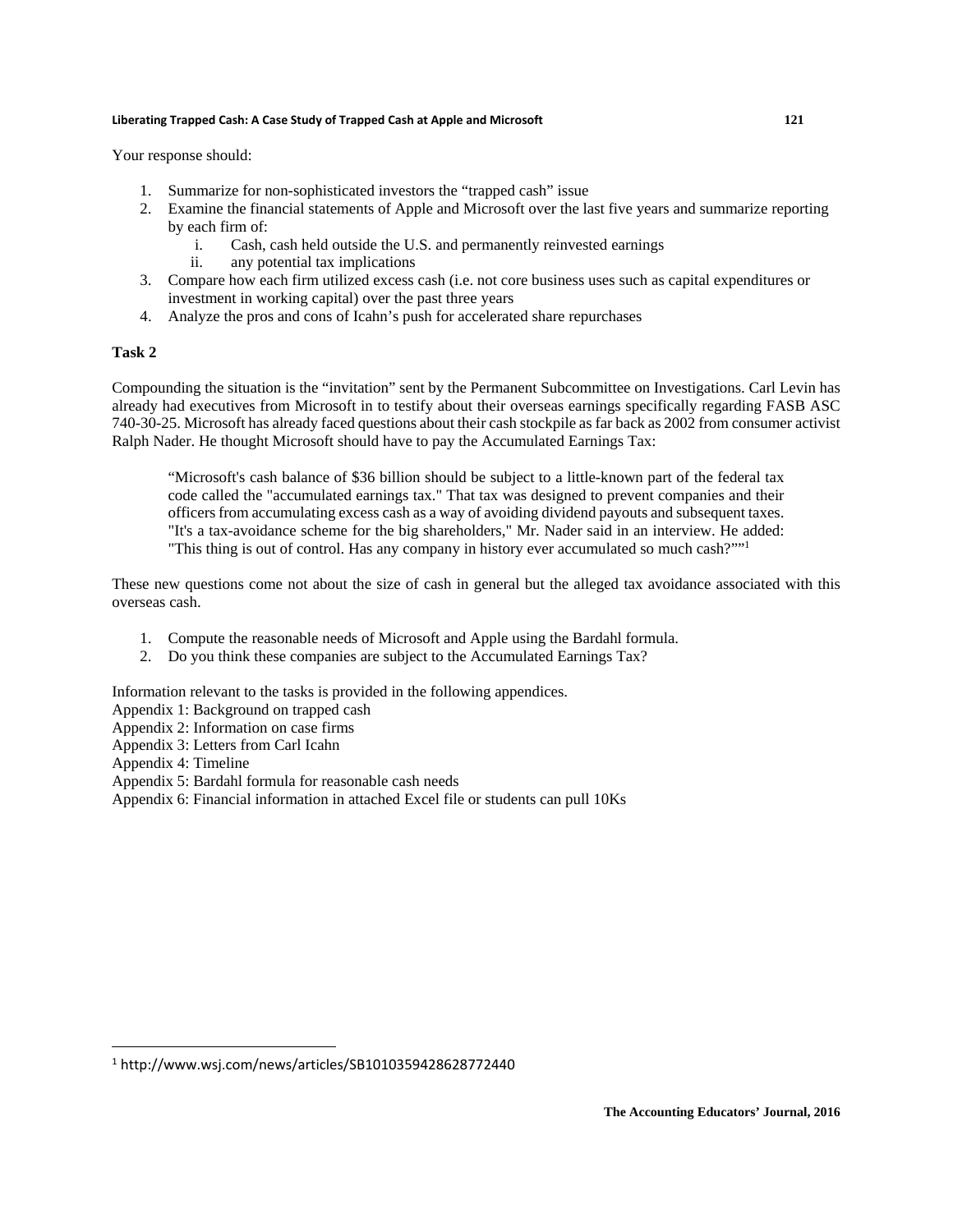Your response should:

- 1. Summarize for non-sophisticated investors the "trapped cash" issue
- 2. Examine the financial statements of Apple and Microsoft over the last five years and summarize reporting by each firm of:
	- i. Cash, cash held outside the U.S. and permanently reinvested earnings
	- ii. any potential tax implications
- 3. Compare how each firm utilized excess cash (i.e. not core business uses such as capital expenditures or investment in working capital) over the past three years
- 4. Analyze the pros and cons of Icahn's push for accelerated share repurchases

#### **Task 2**

Compounding the situation is the "invitation" sent by the Permanent Subcommittee on Investigations. Carl Levin has already had executives from Microsoft in to testify about their overseas earnings specifically regarding FASB ASC 740-30-25. Microsoft has already faced questions about their cash stockpile as far back as 2002 from consumer activist Ralph Nader. He thought Microsoft should have to pay the Accumulated Earnings Tax:

"Microsoft's cash balance of \$36 billion should be subject to a little-known part of the federal tax code called the "accumulated earnings tax." That tax was designed to prevent companies and their officers from accumulating excess cash as a way of avoiding dividend payouts and subsequent taxes. "It's a tax-avoidance scheme for the big shareholders," Mr. Nader said in an interview. He added: "This thing is out of control. Has any company in history ever accumulated so much cash?""1

These new questions come not about the size of cash in general but the alleged tax avoidance associated with this overseas cash.

- 1. Compute the reasonable needs of Microsoft and Apple using the Bardahl formula.
- 2. Do you think these companies are subject to the Accumulated Earnings Tax?

Information relevant to the tasks is provided in the following appendices.

- Appendix 1: Background on trapped cash
- Appendix 2: Information on case firms
- Appendix 3: Letters from Carl Icahn

- Appendix 4: Timeline
- Appendix 5: Bardahl formula for reasonable cash needs
- Appendix 6: Financial information in attached Excel file or students can pull 10Ks

<sup>1</sup> http://www.wsj.com/news/articles/SB1010359428628772440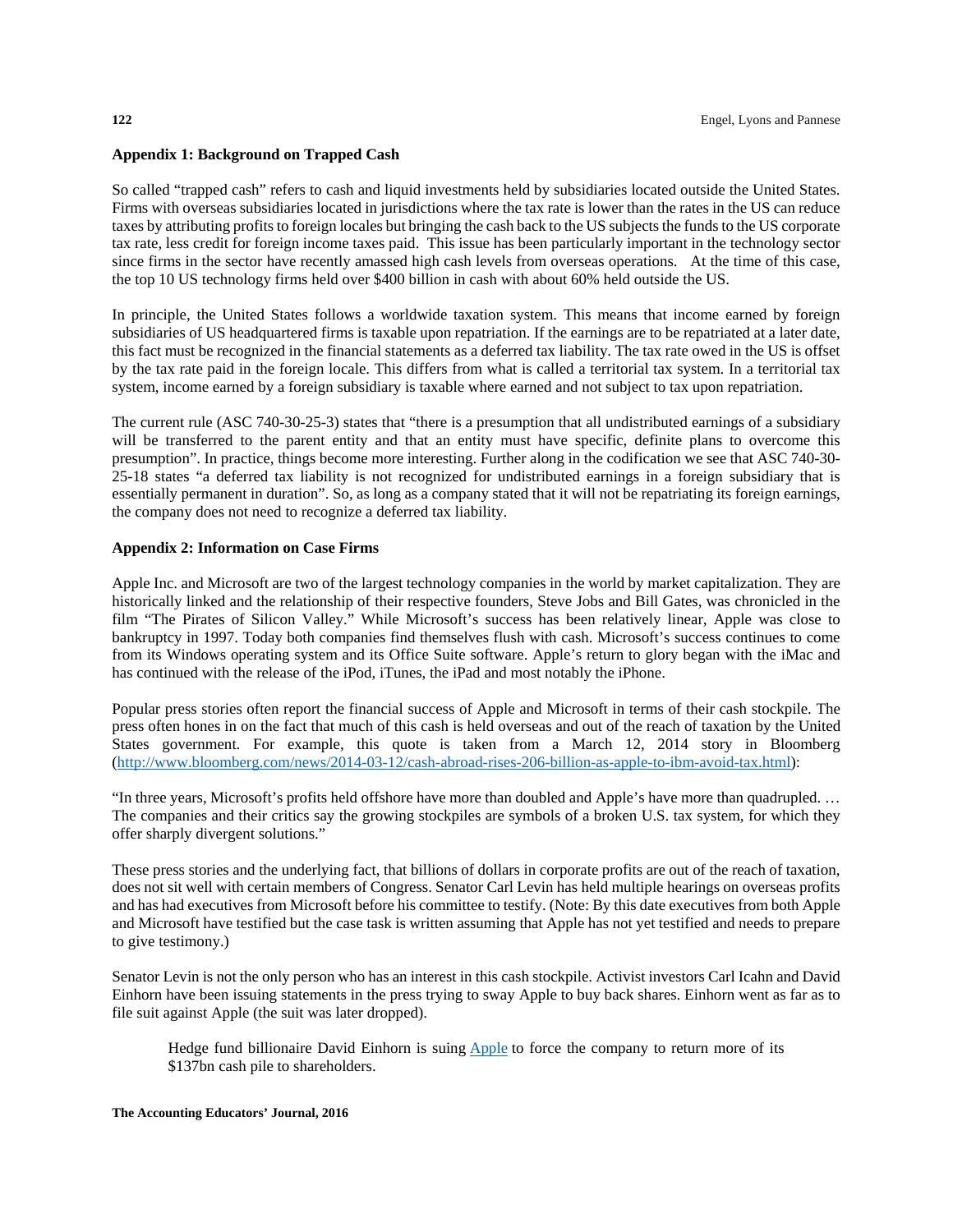#### **Appendix 1: Background on Trapped Cash**

So called "trapped cash" refers to cash and liquid investments held by subsidiaries located outside the United States. Firms with overseas subsidiaries located in jurisdictions where the tax rate is lower than the rates in the US can reduce taxes by attributing profits to foreign locales but bringing the cash back to the US subjects the funds to the US corporate tax rate, less credit for foreign income taxes paid. This issue has been particularly important in the technology sector since firms in the sector have recently amassed high cash levels from overseas operations. At the time of this case, the top 10 US technology firms held over \$400 billion in cash with about 60% held outside the US.

In principle, the United States follows a worldwide taxation system. This means that income earned by foreign subsidiaries of US headquartered firms is taxable upon repatriation. If the earnings are to be repatriated at a later date, this fact must be recognized in the financial statements as a deferred tax liability. The tax rate owed in the US is offset by the tax rate paid in the foreign locale. This differs from what is called a territorial tax system. In a territorial tax system, income earned by a foreign subsidiary is taxable where earned and not subject to tax upon repatriation.

The current rule (ASC 740-30-25-3) states that "there is a presumption that all undistributed earnings of a subsidiary will be transferred to the parent entity and that an entity must have specific, definite plans to overcome this presumption". In practice, things become more interesting. Further along in the codification we see that ASC 740-30- 25-18 states "a deferred tax liability is not recognized for undistributed earnings in a foreign subsidiary that is essentially permanent in duration". So, as long as a company stated that it will not be repatriating its foreign earnings, the company does not need to recognize a deferred tax liability.

#### **Appendix 2: Information on Case Firms**

Apple Inc. and Microsoft are two of the largest technology companies in the world by market capitalization. They are historically linked and the relationship of their respective founders, Steve Jobs and Bill Gates, was chronicled in the film "The Pirates of Silicon Valley." While Microsoft's success has been relatively linear, Apple was close to bankruptcy in 1997. Today both companies find themselves flush with cash. Microsoft's success continues to come from its Windows operating system and its Office Suite software. Apple's return to glory began with the iMac and has continued with the release of the iPod, iTunes, the iPad and most notably the iPhone.

Popular press stories often report the financial success of Apple and Microsoft in terms of their cash stockpile. The press often hones in on the fact that much of this cash is held overseas and out of the reach of taxation by the United States government. For example, this quote is taken from a March 12, 2014 story in Bloomberg (http://www.bloomberg.com/news/2014-03-12/cash-abroad-rises-206-billion-as-apple-to-ibm-avoid-tax.html):

"In three years, Microsoft's profits held offshore have more than doubled and Apple's have more than quadrupled. … The companies and their critics say the growing stockpiles are symbols of a broken U.S. tax system, for which they offer sharply divergent solutions."

These press stories and the underlying fact, that billions of dollars in corporate profits are out of the reach of taxation, does not sit well with certain members of Congress. Senator Carl Levin has held multiple hearings on overseas profits and has had executives from Microsoft before his committee to testify. (Note: By this date executives from both Apple and Microsoft have testified but the case task is written assuming that Apple has not yet testified and needs to prepare to give testimony.)

Senator Levin is not the only person who has an interest in this cash stockpile. Activist investors Carl Icahn and David Einhorn have been issuing statements in the press trying to sway Apple to buy back shares. Einhorn went as far as to file suit against Apple (the suit was later dropped).

Hedge fund billionaire David Einhorn is suing Apple to force the company to return more of its \$137bn cash pile to shareholders.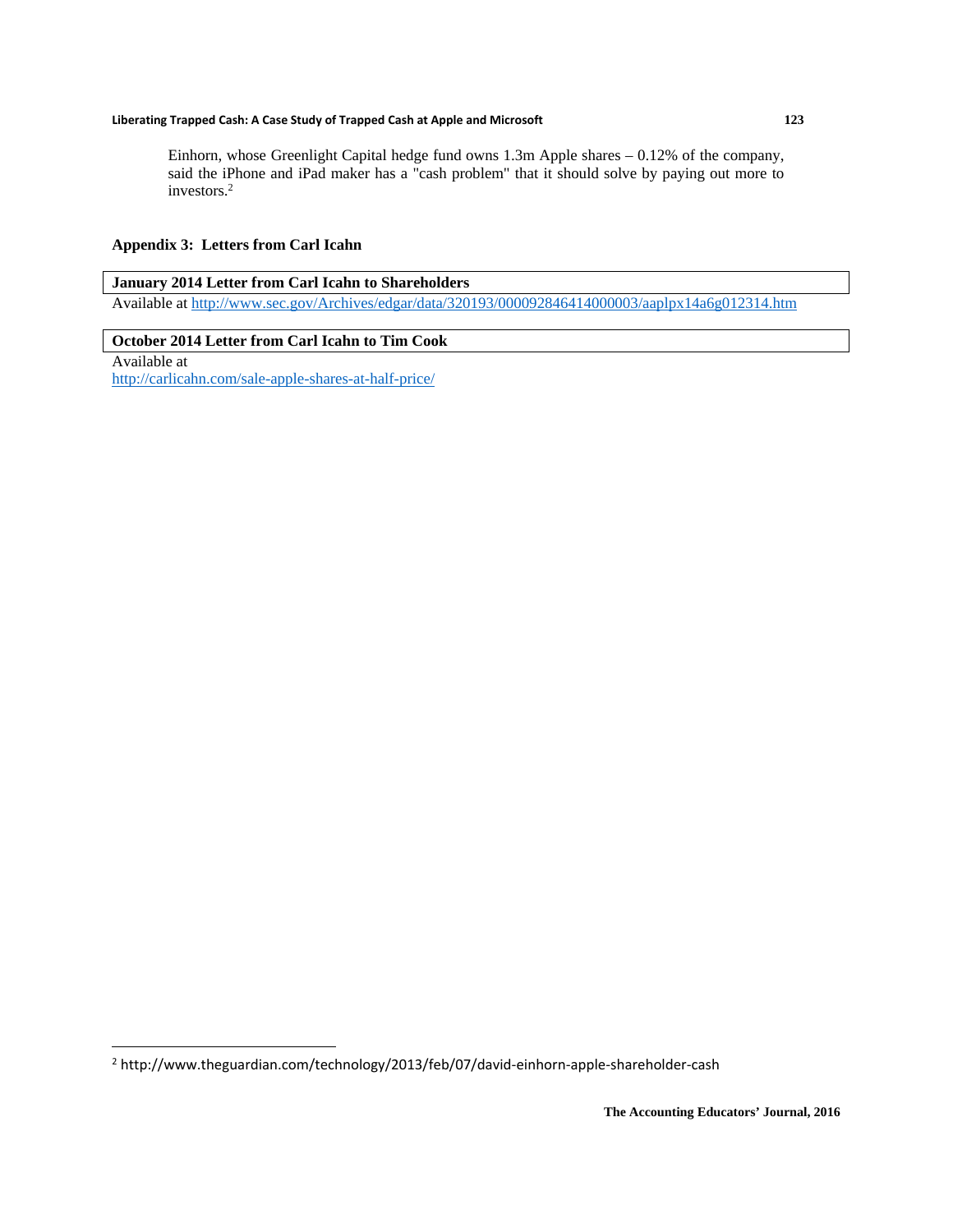Einhorn, whose Greenlight Capital hedge fund owns 1.3m Apple shares – 0.12% of the company, said the iPhone and iPad maker has a "cash problem" that it should solve by paying out more to investors.2

#### **Appendix 3: Letters from Carl Icahn**

#### **January 2014 Letter from Carl Icahn to Shareholders**  Available at http://www.sec.gov/Archives/edgar/data/320193/000092846414000003/aaplpx14a6g012314.htm

#### **October 2014 Letter from Carl Icahn to Tim Cook**

Available at http://carlicahn.com/sale-apple-shares-at-half-price/

<sup>&</sup>lt;sup>2</sup> http://www.theguardian.com/technology/2013/feb/07/david-einhorn-apple-shareholder-cash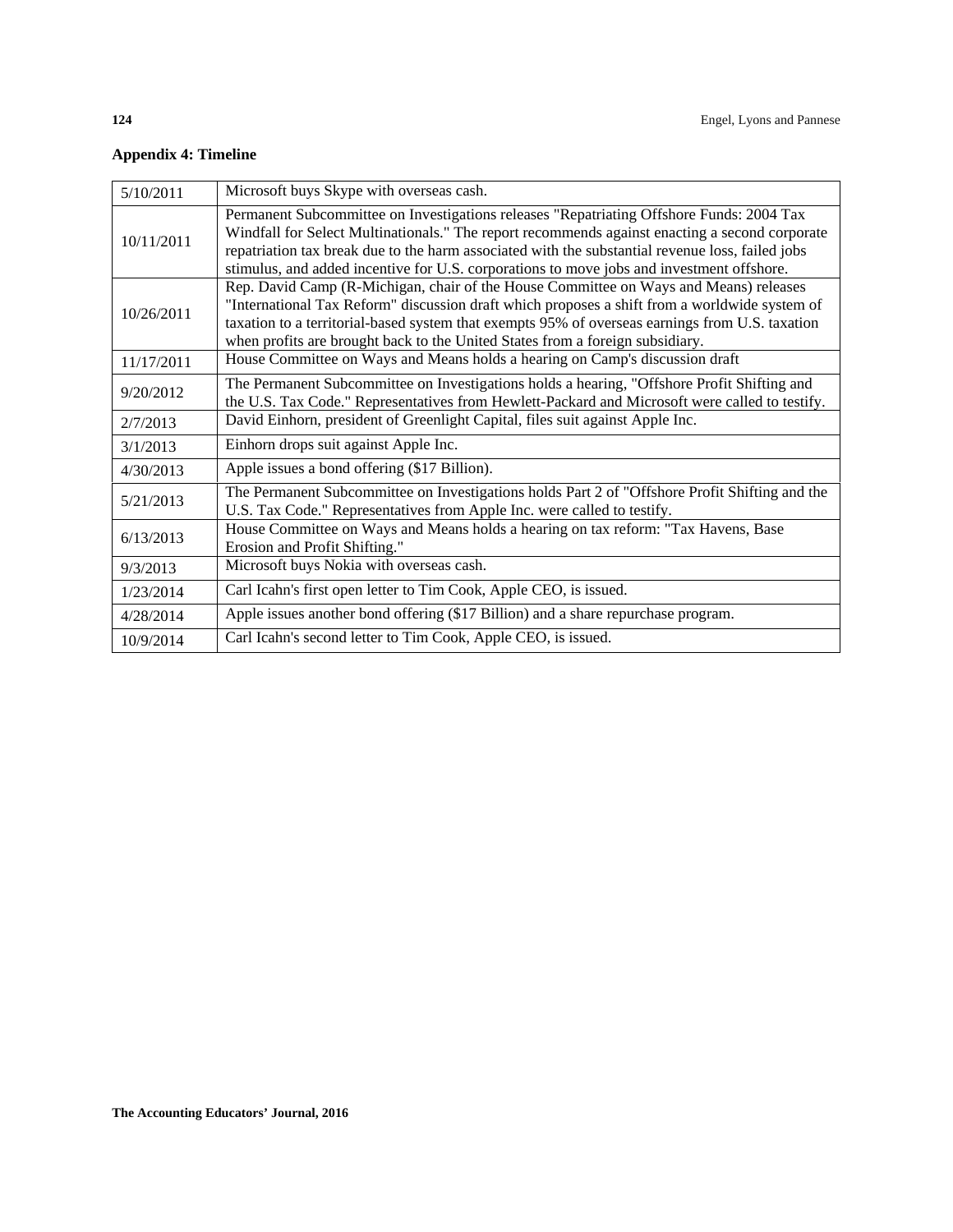### **Appendix 4: Timeline**

| 5/10/2011  | Microsoft buys Skype with overseas cash.                                                                                                                                                                                                                                                                                                                                                    |
|------------|---------------------------------------------------------------------------------------------------------------------------------------------------------------------------------------------------------------------------------------------------------------------------------------------------------------------------------------------------------------------------------------------|
| 10/11/2011 | Permanent Subcommittee on Investigations releases "Repatriating Offshore Funds: 2004 Tax<br>Windfall for Select Multinationals." The report recommends against enacting a second corporate<br>repatriation tax break due to the harm associated with the substantial revenue loss, failed jobs<br>stimulus, and added incentive for U.S. corporations to move jobs and investment offshore. |
| 10/26/2011 | Rep. David Camp (R-Michigan, chair of the House Committee on Ways and Means) releases<br>"International Tax Reform" discussion draft which proposes a shift from a worldwide system of<br>taxation to a territorial-based system that exempts 95% of overseas earnings from U.S. taxation<br>when profits are brought back to the United States from a foreign subsidiary.                  |
| 11/17/2011 | House Committee on Ways and Means holds a hearing on Camp's discussion draft                                                                                                                                                                                                                                                                                                                |
| 9/20/2012  | The Permanent Subcommittee on Investigations holds a hearing, "Offshore Profit Shifting and<br>the U.S. Tax Code." Representatives from Hewlett-Packard and Microsoft were called to testify.                                                                                                                                                                                               |
| 2/7/2013   | David Einhorn, president of Greenlight Capital, files suit against Apple Inc.                                                                                                                                                                                                                                                                                                               |
| 3/1/2013   | Einhorn drops suit against Apple Inc.                                                                                                                                                                                                                                                                                                                                                       |
| 4/30/2013  | Apple issues a bond offering (\$17 Billion).                                                                                                                                                                                                                                                                                                                                                |
| 5/21/2013  | The Permanent Subcommittee on Investigations holds Part 2 of "Offshore Profit Shifting and the<br>U.S. Tax Code." Representatives from Apple Inc. were called to testify.                                                                                                                                                                                                                   |
| 6/13/2013  | House Committee on Ways and Means holds a hearing on tax reform: "Tax Havens, Base<br>Erosion and Profit Shifting."                                                                                                                                                                                                                                                                         |
| 9/3/2013   | Microsoft buys Nokia with overseas cash.                                                                                                                                                                                                                                                                                                                                                    |
| 1/23/2014  | Carl Icahn's first open letter to Tim Cook, Apple CEO, is issued.                                                                                                                                                                                                                                                                                                                           |
| 4/28/2014  | Apple issues another bond offering (\$17 Billion) and a share repurchase program.                                                                                                                                                                                                                                                                                                           |
| 10/9/2014  | Carl Icahn's second letter to Tim Cook, Apple CEO, is issued.                                                                                                                                                                                                                                                                                                                               |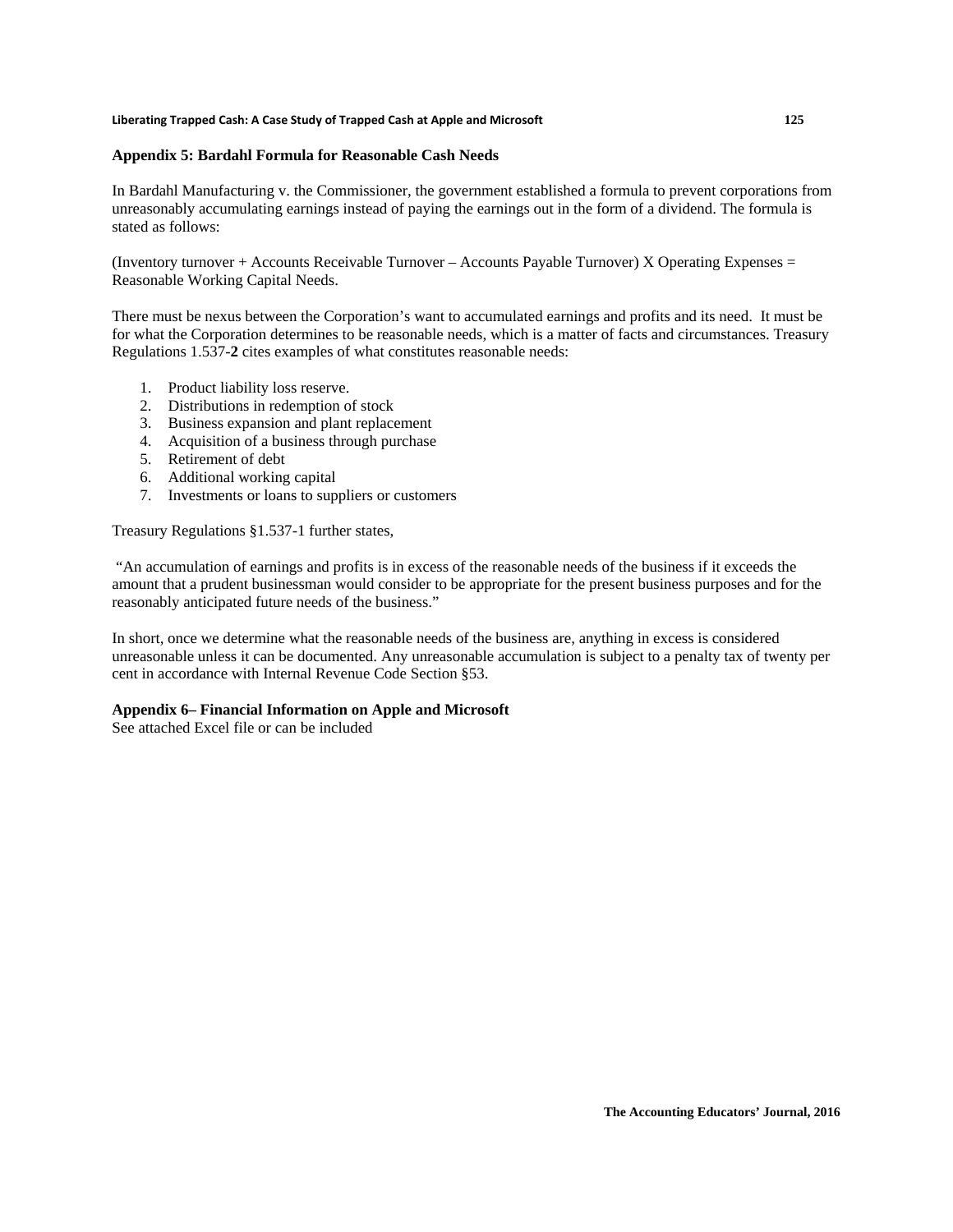#### **Appendix 5: Bardahl Formula for Reasonable Cash Needs**

In Bardahl Manufacturing v. the Commissioner, the government established a formula to prevent corporations from unreasonably accumulating earnings instead of paying the earnings out in the form of a dividend. The formula is stated as follows:

(Inventory turnover + Accounts Receivable Turnover – Accounts Payable Turnover) X Operating Expenses = Reasonable Working Capital Needs.

There must be nexus between the Corporation's want to accumulated earnings and profits and its need. It must be for what the Corporation determines to be reasonable needs, which is a matter of facts and circumstances. Treasury Regulations 1.537-**2** cites examples of what constitutes reasonable needs:

- 1. Product liability loss reserve.
- 2. Distributions in redemption of stock
- 3. Business expansion and plant replacement
- 4. Acquisition of a business through purchase
- 5. Retirement of debt
- 6. Additional working capital
- 7. Investments or loans to suppliers or customers

Treasury Regulations §1.537-1 further states,

 "An accumulation of earnings and profits is in excess of the reasonable needs of the business if it exceeds the amount that a prudent businessman would consider to be appropriate for the present business purposes and for the reasonably anticipated future needs of the business."

In short, once we determine what the reasonable needs of the business are, anything in excess is considered unreasonable unless it can be documented. Any unreasonable accumulation is subject to a penalty tax of twenty per cent in accordance with Internal Revenue Code Section §53.

#### **Appendix 6– Financial Information on Apple and Microsoft**

See attached Excel file or can be included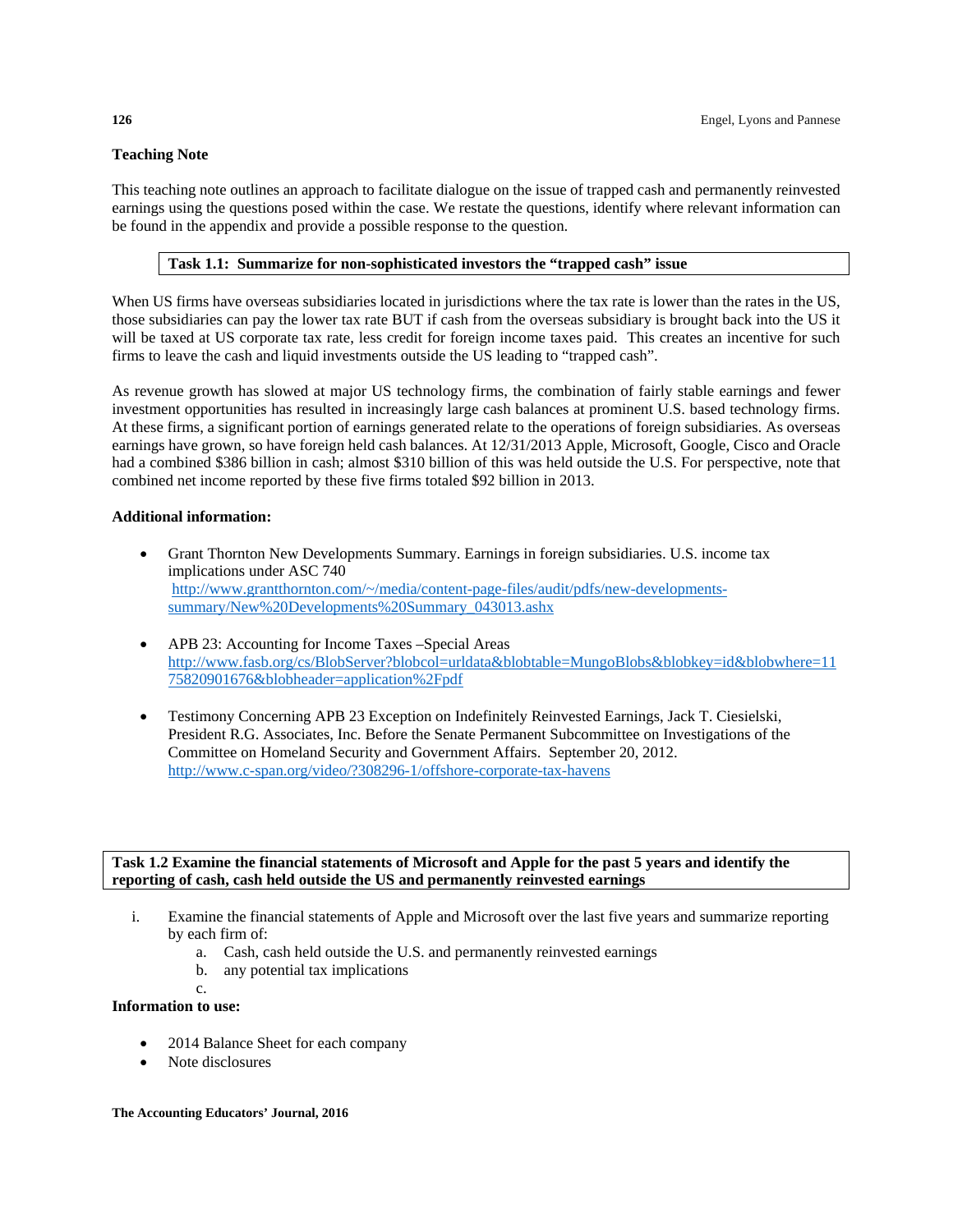#### **Teaching Note**

This teaching note outlines an approach to facilitate dialogue on the issue of trapped cash and permanently reinvested earnings using the questions posed within the case. We restate the questions, identify where relevant information can be found in the appendix and provide a possible response to the question.

#### **Task 1.1: Summarize for non-sophisticated investors the "trapped cash" issue**

When US firms have overseas subsidiaries located in jurisdictions where the tax rate is lower than the rates in the US, those subsidiaries can pay the lower tax rate BUT if cash from the overseas subsidiary is brought back into the US it will be taxed at US corporate tax rate, less credit for foreign income taxes paid. This creates an incentive for such firms to leave the cash and liquid investments outside the US leading to "trapped cash".

As revenue growth has slowed at major US technology firms, the combination of fairly stable earnings and fewer investment opportunities has resulted in increasingly large cash balances at prominent U.S. based technology firms. At these firms, a significant portion of earnings generated relate to the operations of foreign subsidiaries. As overseas earnings have grown, so have foreign held cash balances. At 12/31/2013 Apple, Microsoft, Google, Cisco and Oracle had a combined \$386 billion in cash; almost \$310 billion of this was held outside the U.S. For perspective, note that combined net income reported by these five firms totaled \$92 billion in 2013.

#### **Additional information:**

- Grant Thornton New Developments Summary. Earnings in foreign subsidiaries. U.S. income tax implications under ASC 740 http://www.grantthornton.com/~/media/content-page-files/audit/pdfs/new-developmentssummary/New%20Developments%20Summary\_043013.ashx
- APB 23: Accounting for Income Taxes –Special Areas http://www.fasb.org/cs/BlobServer?blobcol=urldata&blobtable=MungoBlobs&blobkey=id&blobwhere=11 75820901676&blobheader=application%2Fpdf
- Testimony Concerning APB 23 Exception on Indefinitely Reinvested Earnings, Jack T. Ciesielski, President R.G. Associates, Inc. Before the Senate Permanent Subcommittee on Investigations of the Committee on Homeland Security and Government Affairs. September 20, 2012. http://www.c-span.org/video/?308296-1/offshore-corporate-tax-havens

#### **Task 1.2 Examine the financial statements of Microsoft and Apple for the past 5 years and identify the reporting of cash, cash held outside the US and permanently reinvested earnings**

- i. Examine the financial statements of Apple and Microsoft over the last five years and summarize reporting by each firm of:
	- a. Cash, cash held outside the U.S. and permanently reinvested earnings
	- b. any potential tax implications
	- c.

#### **Information to use:**

- 2014 Balance Sheet for each company
- Note disclosures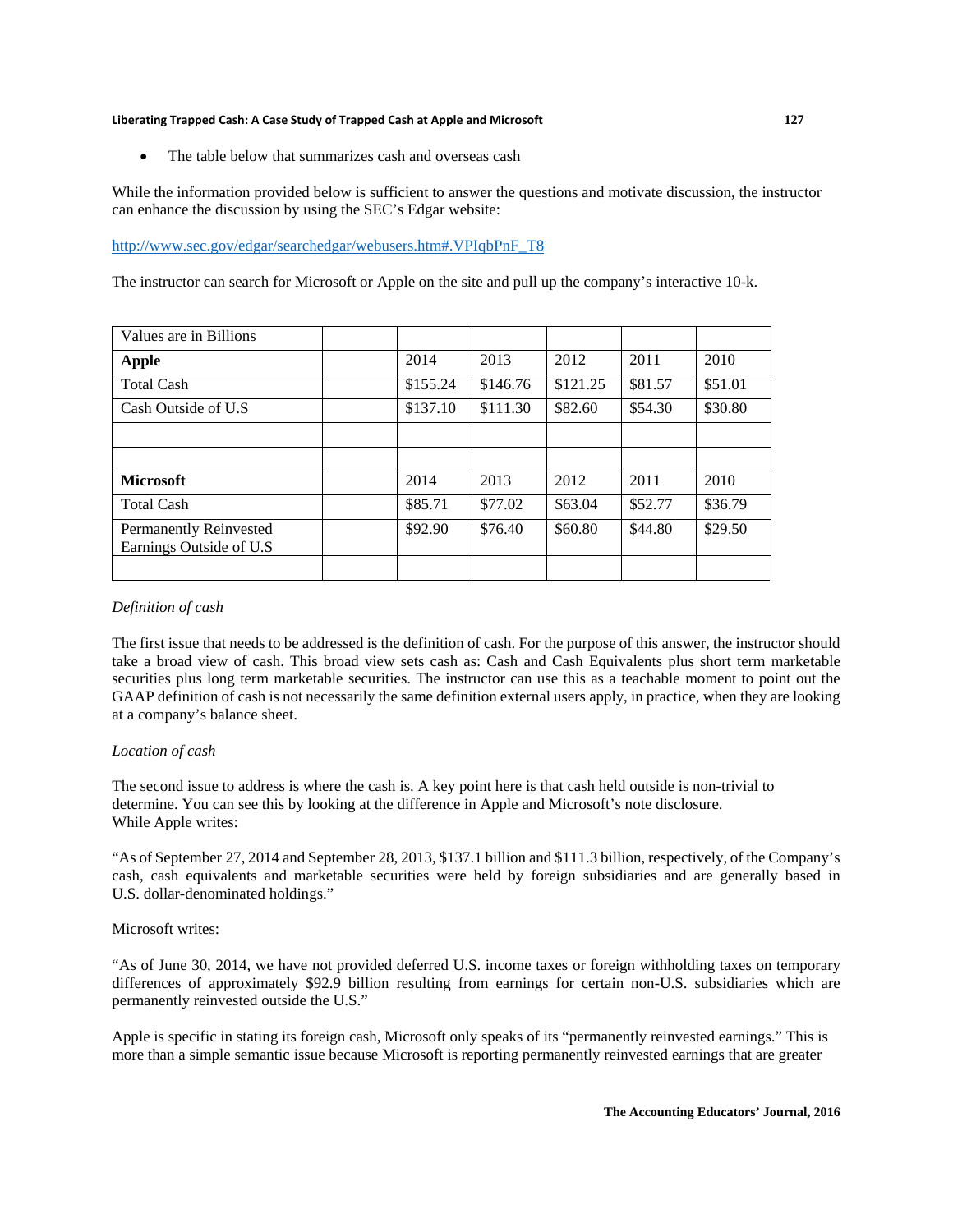The table below that summarizes cash and overseas cash

While the information provided below is sufficient to answer the questions and motivate discussion, the instructor can enhance the discussion by using the SEC's Edgar website:

#### http://www.sec.gov/edgar/searchedgar/webusers.htm#.VPIqbPnF\_T8

The instructor can search for Microsoft or Apple on the site and pull up the company's interactive 10-k.

| Values are in Billions                                    |          |          |          |         |         |
|-----------------------------------------------------------|----------|----------|----------|---------|---------|
| Apple                                                     | 2014     | 2013     | 2012     | 2011    | 2010    |
| <b>Total Cash</b>                                         | \$155.24 | \$146.76 | \$121.25 | \$81.57 | \$51.01 |
| Cash Outside of U.S.                                      | \$137.10 | \$111.30 | \$82.60  | \$54.30 | \$30.80 |
|                                                           |          |          |          |         |         |
|                                                           |          |          |          |         |         |
| <b>Microsoft</b>                                          | 2014     | 2013     | 2012     | 2011    | 2010    |
| <b>Total Cash</b>                                         | \$85.71  | \$77.02  | \$63.04  | \$52.77 | \$36.79 |
| <b>Permanently Reinvested</b><br>Earnings Outside of U.S. | \$92.90  | \$76.40  | \$60.80  | \$44.80 | \$29.50 |
|                                                           |          |          |          |         |         |

#### *Definition of cash*

The first issue that needs to be addressed is the definition of cash. For the purpose of this answer, the instructor should take a broad view of cash. This broad view sets cash as: Cash and Cash Equivalents plus short term marketable securities plus long term marketable securities. The instructor can use this as a teachable moment to point out the GAAP definition of cash is not necessarily the same definition external users apply, in practice, when they are looking at a company's balance sheet.

#### *Location of cash*

The second issue to address is where the cash is. A key point here is that cash held outside is non-trivial to determine. You can see this by looking at the difference in Apple and Microsoft's note disclosure. While Apple writes:

"As of September 27, 2014 and September 28, 2013, \$137.1 billion and \$111.3 billion, respectively, of the Company's cash, cash equivalents and marketable securities were held by foreign subsidiaries and are generally based in U.S. dollar-denominated holdings."

#### Microsoft writes:

"As of June 30, 2014, we have not provided deferred U.S. income taxes or foreign withholding taxes on temporary differences of approximately \$92.9 billion resulting from earnings for certain non-U.S. subsidiaries which are permanently reinvested outside the U.S."

Apple is specific in stating its foreign cash, Microsoft only speaks of its "permanently reinvested earnings." This is more than a simple semantic issue because Microsoft is reporting permanently reinvested earnings that are greater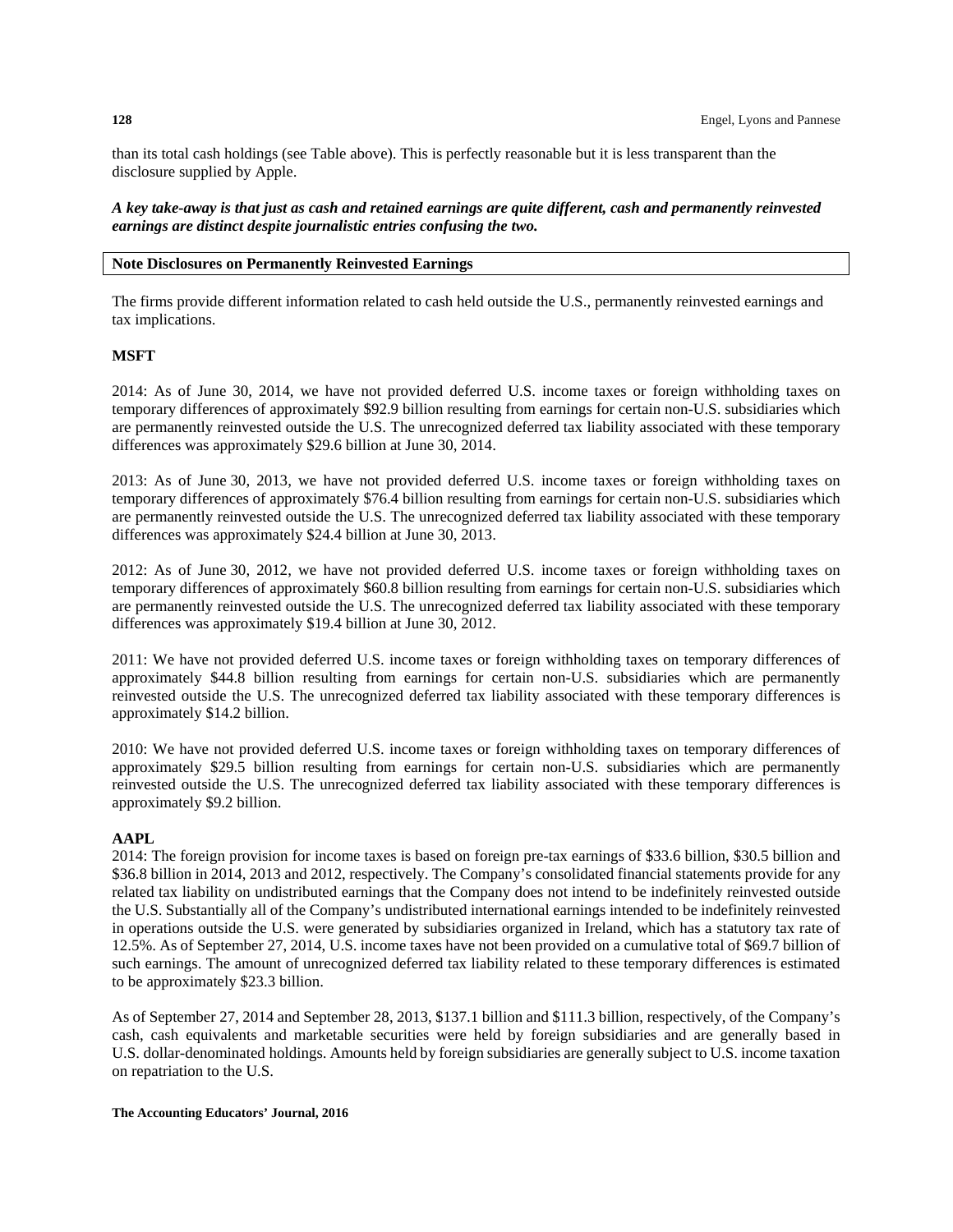than its total cash holdings (see Table above). This is perfectly reasonable but it is less transparent than the disclosure supplied by Apple.

*A key take-away is that just as cash and retained earnings are quite different, cash and permanently reinvested earnings are distinct despite journalistic entries confusing the two.* 

#### **Note Disclosures on Permanently Reinvested Earnings**

The firms provide different information related to cash held outside the U.S., permanently reinvested earnings and tax implications.

#### **MSFT**

2014: As of June 30, 2014, we have not provided deferred U.S. income taxes or foreign withholding taxes on temporary differences of approximately \$92.9 billion resulting from earnings for certain non-U.S. subsidiaries which are permanently reinvested outside the U.S. The unrecognized deferred tax liability associated with these temporary differences was approximately \$29.6 billion at June 30, 2014.

2013: As of June 30, 2013, we have not provided deferred U.S. income taxes or foreign withholding taxes on temporary differences of approximately \$76.4 billion resulting from earnings for certain non-U.S. subsidiaries which are permanently reinvested outside the U.S. The unrecognized deferred tax liability associated with these temporary differences was approximately \$24.4 billion at June 30, 2013.

2012: As of June 30, 2012, we have not provided deferred U.S. income taxes or foreign withholding taxes on temporary differences of approximately \$60.8 billion resulting from earnings for certain non-U.S. subsidiaries which are permanently reinvested outside the U.S. The unrecognized deferred tax liability associated with these temporary differences was approximately \$19.4 billion at June 30, 2012.

2011: We have not provided deferred U.S. income taxes or foreign withholding taxes on temporary differences of approximately \$44.8 billion resulting from earnings for certain non-U.S. subsidiaries which are permanently reinvested outside the U.S. The unrecognized deferred tax liability associated with these temporary differences is approximately \$14.2 billion.

2010: We have not provided deferred U.S. income taxes or foreign withholding taxes on temporary differences of approximately \$29.5 billion resulting from earnings for certain non-U.S. subsidiaries which are permanently reinvested outside the U.S. The unrecognized deferred tax liability associated with these temporary differences is approximately \$9.2 billion.

#### **AAPL**

2014: The foreign provision for income taxes is based on foreign pre-tax earnings of \$33.6 billion, \$30.5 billion and \$36.8 billion in 2014, 2013 and 2012, respectively. The Company's consolidated financial statements provide for any related tax liability on undistributed earnings that the Company does not intend to be indefinitely reinvested outside the U.S. Substantially all of the Company's undistributed international earnings intended to be indefinitely reinvested in operations outside the U.S. were generated by subsidiaries organized in Ireland, which has a statutory tax rate of 12.5%. As of September 27, 2014, U.S. income taxes have not been provided on a cumulative total of \$69.7 billion of such earnings. The amount of unrecognized deferred tax liability related to these temporary differences is estimated to be approximately \$23.3 billion.

As of September 27, 2014 and September 28, 2013, \$137.1 billion and \$111.3 billion, respectively, of the Company's cash, cash equivalents and marketable securities were held by foreign subsidiaries and are generally based in U.S. dollar-denominated holdings. Amounts held by foreign subsidiaries are generally subject to U.S. income taxation on repatriation to the U.S.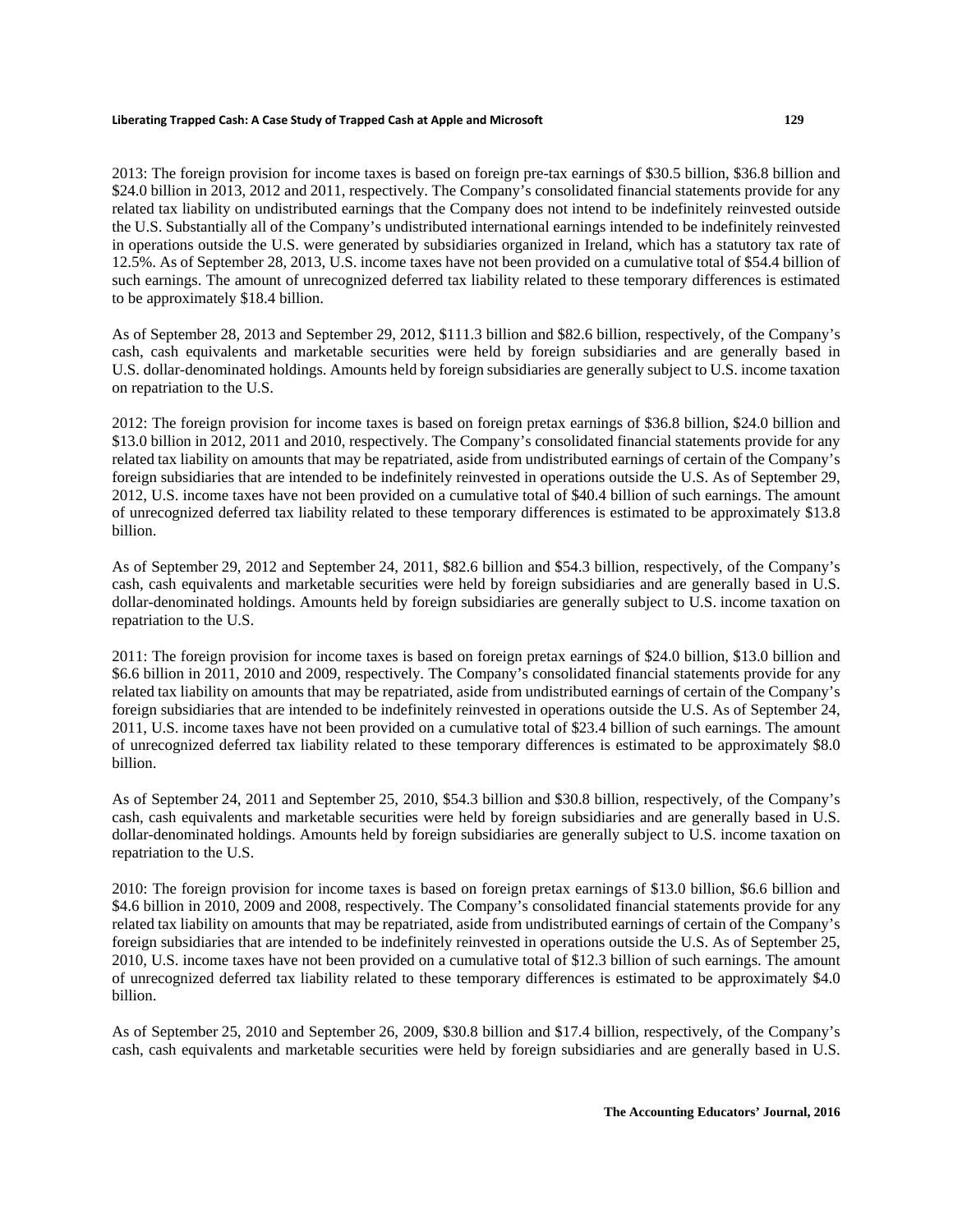2013: The foreign provision for income taxes is based on foreign pre-tax earnings of \$30.5 billion, \$36.8 billion and \$24.0 billion in 2013, 2012 and 2011, respectively. The Company's consolidated financial statements provide for any related tax liability on undistributed earnings that the Company does not intend to be indefinitely reinvested outside the U.S. Substantially all of the Company's undistributed international earnings intended to be indefinitely reinvested in operations outside the U.S. were generated by subsidiaries organized in Ireland, which has a statutory tax rate of 12.5%. As of September 28, 2013, U.S. income taxes have not been provided on a cumulative total of \$54.4 billion of such earnings. The amount of unrecognized deferred tax liability related to these temporary differences is estimated to be approximately \$18.4 billion.

As of September 28, 2013 and September 29, 2012, \$111.3 billion and \$82.6 billion, respectively, of the Company's cash, cash equivalents and marketable securities were held by foreign subsidiaries and are generally based in U.S. dollar-denominated holdings. Amounts held by foreign subsidiaries are generally subject to U.S. income taxation on repatriation to the U.S.

2012: The foreign provision for income taxes is based on foreign pretax earnings of \$36.8 billion, \$24.0 billion and \$13.0 billion in 2012, 2011 and 2010, respectively. The Company's consolidated financial statements provide for any related tax liability on amounts that may be repatriated, aside from undistributed earnings of certain of the Company's foreign subsidiaries that are intended to be indefinitely reinvested in operations outside the U.S. As of September 29, 2012, U.S. income taxes have not been provided on a cumulative total of \$40.4 billion of such earnings. The amount of unrecognized deferred tax liability related to these temporary differences is estimated to be approximately \$13.8 billion.

As of September 29, 2012 and September 24, 2011, \$82.6 billion and \$54.3 billion, respectively, of the Company's cash, cash equivalents and marketable securities were held by foreign subsidiaries and are generally based in U.S. dollar-denominated holdings. Amounts held by foreign subsidiaries are generally subject to U.S. income taxation on repatriation to the U.S.

2011: The foreign provision for income taxes is based on foreign pretax earnings of \$24.0 billion, \$13.0 billion and \$6.6 billion in 2011, 2010 and 2009, respectively. The Company's consolidated financial statements provide for any related tax liability on amounts that may be repatriated, aside from undistributed earnings of certain of the Company's foreign subsidiaries that are intended to be indefinitely reinvested in operations outside the U.S. As of September 24, 2011, U.S. income taxes have not been provided on a cumulative total of \$23.4 billion of such earnings. The amount of unrecognized deferred tax liability related to these temporary differences is estimated to be approximately \$8.0 billion.

As of September 24, 2011 and September 25, 2010, \$54.3 billion and \$30.8 billion, respectively, of the Company's cash, cash equivalents and marketable securities were held by foreign subsidiaries and are generally based in U.S. dollar-denominated holdings. Amounts held by foreign subsidiaries are generally subject to U.S. income taxation on repatriation to the U.S.

2010: The foreign provision for income taxes is based on foreign pretax earnings of \$13.0 billion, \$6.6 billion and \$4.6 billion in 2010, 2009 and 2008, respectively. The Company's consolidated financial statements provide for any related tax liability on amounts that may be repatriated, aside from undistributed earnings of certain of the Company's foreign subsidiaries that are intended to be indefinitely reinvested in operations outside the U.S. As of September 25, 2010, U.S. income taxes have not been provided on a cumulative total of \$12.3 billion of such earnings. The amount of unrecognized deferred tax liability related to these temporary differences is estimated to be approximately \$4.0 billion.

As of September 25, 2010 and September 26, 2009, \$30.8 billion and \$17.4 billion, respectively, of the Company's cash, cash equivalents and marketable securities were held by foreign subsidiaries and are generally based in U.S.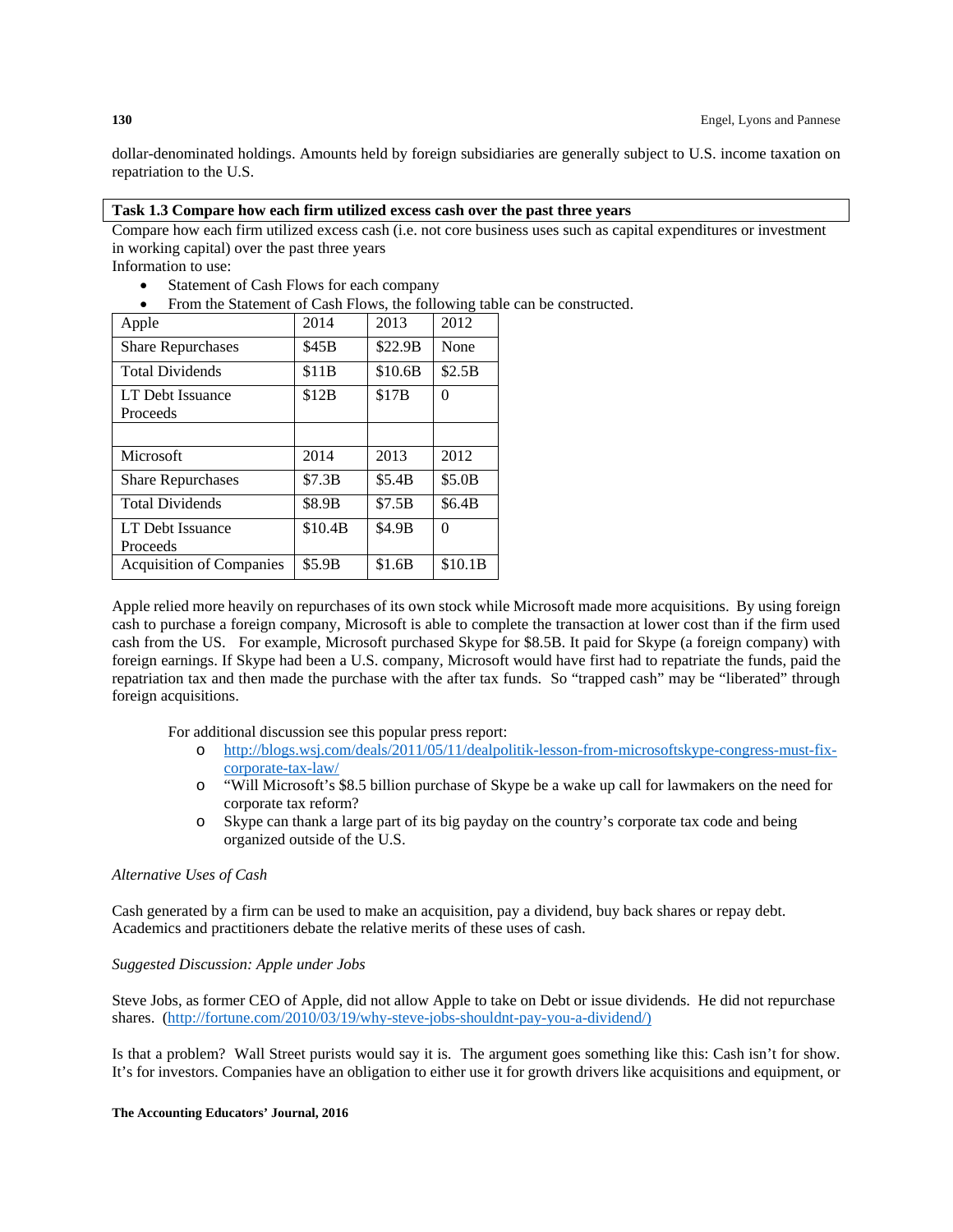dollar-denominated holdings. Amounts held by foreign subsidiaries are generally subject to U.S. income taxation on repatriation to the U.S.

#### **Task 1.3 Compare how each firm utilized excess cash over the past three years**

Compare how each firm utilized excess cash (i.e. not core business uses such as capital expenditures or investment in working capital) over the past three years

Information to use:

- Statement of Cash Flows for each company
- From the Statement of Cash Flows, the following table can be constructed.

| Apple                        | 2014    | 2013    | 2012    |
|------------------------------|---------|---------|---------|
| <b>Share Repurchases</b>     | \$45B   | \$22.9B | None    |
| <b>Total Dividends</b>       | \$11B   | \$10.6B | \$2.5B  |
| LT Debt Issuance<br>Proceeds | \$12B   | \$17B   | 0       |
|                              |         |         |         |
| Microsoft                    | 2014    | 2013    | 2012    |
| <b>Share Repurchases</b>     | \$7.3B  | \$5.4B  | \$5.0B  |
| <b>Total Dividends</b>       | \$8.9B  | \$7.5B  | \$6.4B  |
| LT Debt Issuance<br>Proceeds | \$10.4B | \$4.9B  | 0       |
| Acquisition of Companies     | \$5.9B  | \$1.6B  | \$10.1B |

Apple relied more heavily on repurchases of its own stock while Microsoft made more acquisitions. By using foreign cash to purchase a foreign company, Microsoft is able to complete the transaction at lower cost than if the firm used cash from the US. For example, Microsoft purchased Skype for \$8.5B. It paid for Skype (a foreign company) with foreign earnings. If Skype had been a U.S. company, Microsoft would have first had to repatriate the funds, paid the repatriation tax and then made the purchase with the after tax funds. So "trapped cash" may be "liberated" through foreign acquisitions.

For additional discussion see this popular press report:

- o http://blogs.wsj.com/deals/2011/05/11/dealpolitik-lesson-from-microsoftskype-congress-must-fixcorporate-tax-law/
- o "Will Microsoft's \$8.5 billion purchase of Skype be a wake up call for lawmakers on the need for corporate tax reform?
- o Skype can thank a large part of its big payday on the country's corporate tax code and being organized outside of the U.S.

#### *Alternative Uses of Cash*

Cash generated by a firm can be used to make an acquisition, pay a dividend, buy back shares or repay debt. Academics and practitioners debate the relative merits of these uses of cash.

#### *Suggested Discussion: Apple under Jobs*

Steve Jobs, as former CEO of Apple, did not allow Apple to take on Debt or issue dividends. He did not repurchase shares. (http://fortune.com/2010/03/19/why-steve-jobs-shouldnt-pay-you-a-dividend/)

Is that a problem? Wall Street purists would say it is. The argument goes something like this: Cash isn't for show. It's for investors. Companies have an obligation to either use it for growth drivers like acquisitions and equipment, or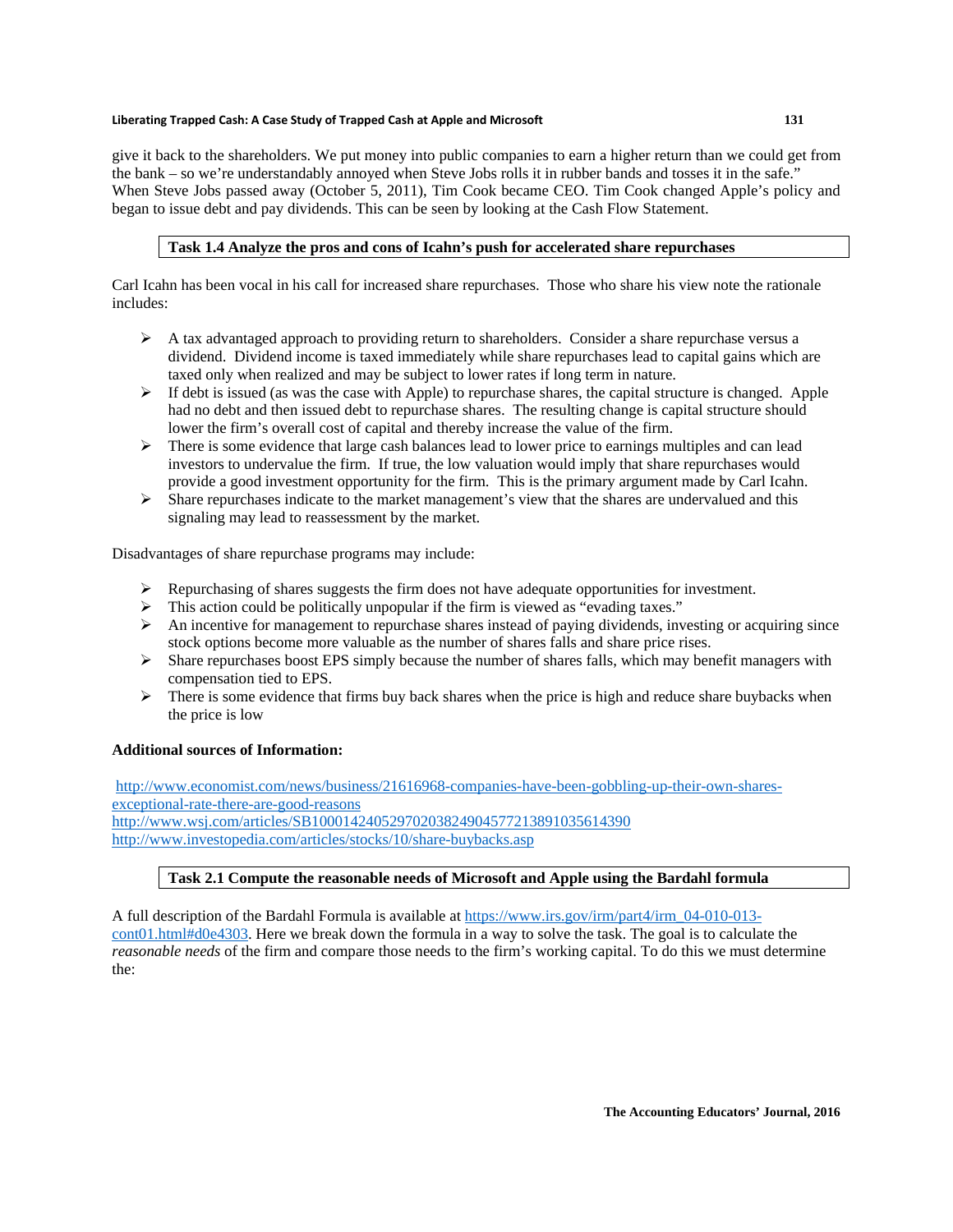give it back to the shareholders. We put money into public companies to earn a higher return than we could get from the bank – so we're understandably annoyed when Steve Jobs rolls it in rubber bands and tosses it in the safe." When Steve Jobs passed away (October 5, 2011), Tim Cook became CEO. Tim Cook changed Apple's policy and began to issue debt and pay dividends. This can be seen by looking at the Cash Flow Statement.

#### **Task 1.4 Analyze the pros and cons of Icahn's push for accelerated share repurchases**

Carl Icahn has been vocal in his call for increased share repurchases. Those who share his view note the rationale includes:

- $\triangleright$  A tax advantaged approach to providing return to shareholders. Consider a share repurchase versus a dividend. Dividend income is taxed immediately while share repurchases lead to capital gains which are taxed only when realized and may be subject to lower rates if long term in nature.
- $\triangleright$  If debt is issued (as was the case with Apple) to repurchase shares, the capital structure is changed. Apple had no debt and then issued debt to repurchase shares. The resulting change is capital structure should lower the firm's overall cost of capital and thereby increase the value of the firm.
- $\triangleright$  There is some evidence that large cash balances lead to lower price to earnings multiples and can lead investors to undervalue the firm. If true, the low valuation would imply that share repurchases would provide a good investment opportunity for the firm. This is the primary argument made by Carl Icahn.
- $\triangleright$  Share repurchases indicate to the market management's view that the shares are undervalued and this signaling may lead to reassessment by the market.

Disadvantages of share repurchase programs may include:

- $\triangleright$  Repurchasing of shares suggests the firm does not have adequate opportunities for investment.
- $\triangleright$  This action could be politically unpopular if the firm is viewed as "evading taxes."
- $\triangleright$  An incentive for management to repurchase shares instead of paying dividends, investing or acquiring since stock options become more valuable as the number of shares falls and share price rises.
- $\triangleright$  Share repurchases boost EPS simply because the number of shares falls, which may benefit managers with compensation tied to EPS.
- $\triangleright$  There is some evidence that firms buy back shares when the price is high and reduce share buybacks when the price is low

#### **Additional sources of Information:**

http://www.economist.com/news/business/21616968-companies-have-been-gobbling-up-their-own-sharesexceptional-rate-there-are-good-reasons http://www.wsj.com/articles/SB10001424052970203824904577213891035614390 http://www.investopedia.com/articles/stocks/10/share-buybacks.asp

#### **Task 2.1 Compute the reasonable needs of Microsoft and Apple using the Bardahl formula**

A full description of the Bardahl Formula is available at https://www.irs.gov/irm/part4/irm\_04-010-013 cont01.html#d0e4303. Here we break down the formula in a way to solve the task. The goal is to calculate the *reasonable needs* of the firm and compare those needs to the firm's working capital. To do this we must determine the: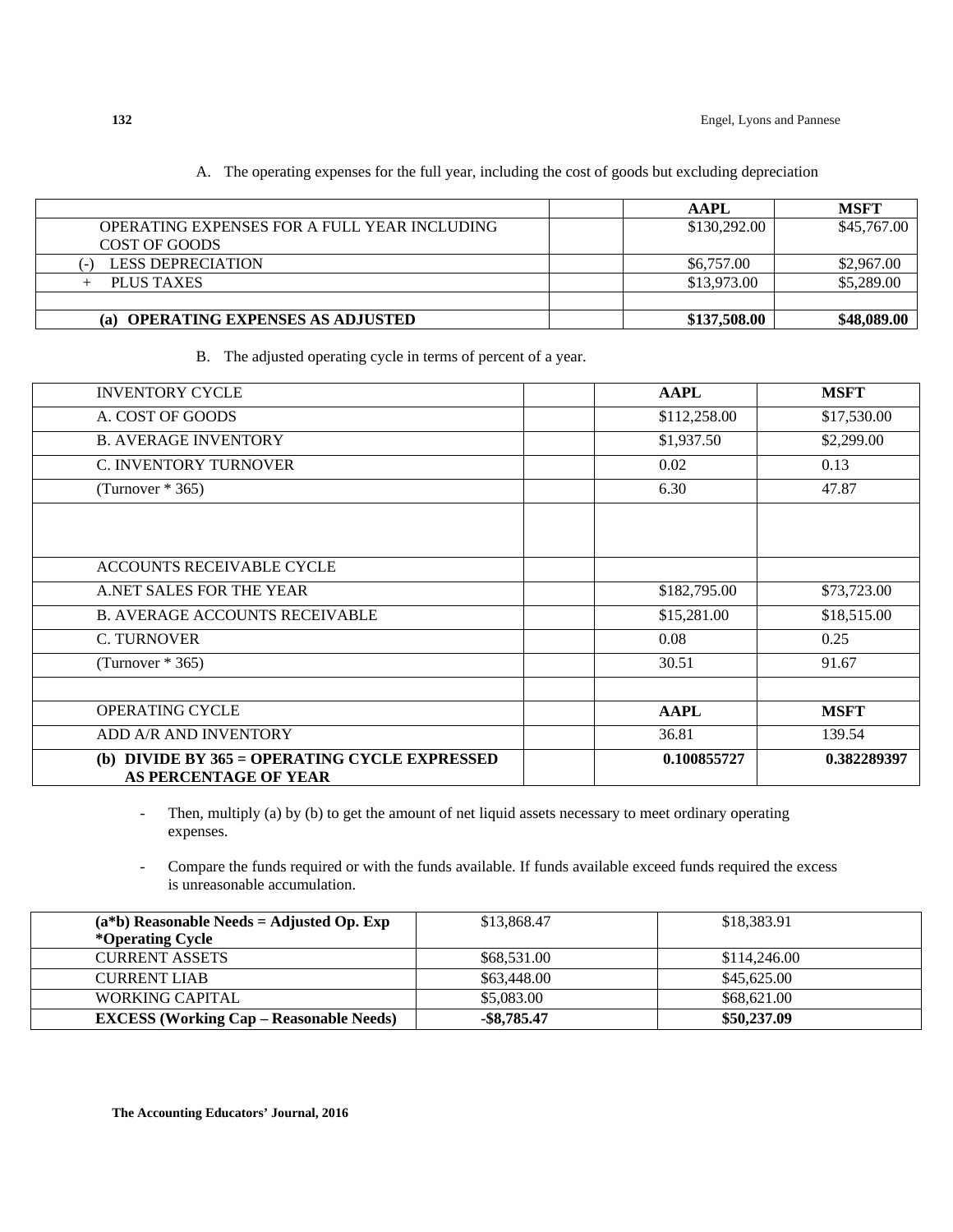|                                              | AAPL         | <b>MSFT</b> |
|----------------------------------------------|--------------|-------------|
| OPERATING EXPENSES FOR A FULL YEAR INCLUDING | \$130,292.00 | \$45,767.00 |
| COST OF GOODS                                |              |             |
| LESS DEPRECIATION                            | \$6,757.00   | \$2,967.00  |
| PLUS TAXES                                   | \$13,973.00  | \$5,289.00  |
|                                              |              |             |
| <b>OPERATING EXPENSES AS ADJUSTED</b><br>(a) | \$137,508.00 | \$48,089.00 |

A. The operating expenses for the full year, including the cost of goods but excluding depreciation

#### B. The adjusted operating cycle in terms of percent of a year.

| <b>INVENTORY CYCLE</b>                                                   | <b>AAPL</b>  | <b>MSFT</b> |
|--------------------------------------------------------------------------|--------------|-------------|
| A. COST OF GOODS                                                         | \$112,258.00 | \$17,530.00 |
| <b>B. AVERAGE INVENTORY</b>                                              | \$1,937.50   | \$2,299.00  |
| <b>C. INVENTORY TURNOVER</b>                                             | 0.02         | 0.13        |
| (Turnover $*365$ )                                                       | 6.30         | 47.87       |
|                                                                          |              |             |
|                                                                          |              |             |
| ACCOUNTS RECEIVABLE CYCLE                                                |              |             |
| A.NET SALES FOR THE YEAR                                                 | \$182,795.00 | \$73,723.00 |
| <b>B. AVERAGE ACCOUNTS RECEIVABLE</b>                                    | \$15,281.00  | \$18,515.00 |
| <b>C. TURNOVER</b>                                                       | 0.08         | 0.25        |
| (Turnover $*365$ )                                                       | 30.51        | 91.67       |
|                                                                          |              |             |
| <b>OPERATING CYCLE</b>                                                   | <b>AAPL</b>  | <b>MSFT</b> |
| ADD A/R AND INVENTORY                                                    | 36.81        | 139.54      |
| (b) DIVIDE BY $365 =$ OPERATING CYCLE EXPRESSED<br>AS PERCENTAGE OF YEAR | 0.100855727  | 0.382289397 |

Then, multiply (a) by (b) to get the amount of net liquid assets necessary to meet ordinary operating expenses.

Compare the funds required or with the funds available. If funds available exceed funds required the excess is unreasonable accumulation.

| $(a * b)$ Reasonable Needs = Adjusted Op. Exp<br>*Operating Cycle | \$13,868.47    | \$18,383.91  |
|-------------------------------------------------------------------|----------------|--------------|
| <b>CURRENT ASSETS</b>                                             | \$68,531.00    | \$114,246.00 |
| <b>CURRENT LIAB</b>                                               | \$63,448.00    | \$45,625.00  |
| WORKING CAPITAL                                                   | \$5,083,00     | \$68,621.00  |
| <b>EXCESS (Working Cap – Reasonable Needs)</b>                    | $-$ \$8,785.47 | \$50,237.09  |